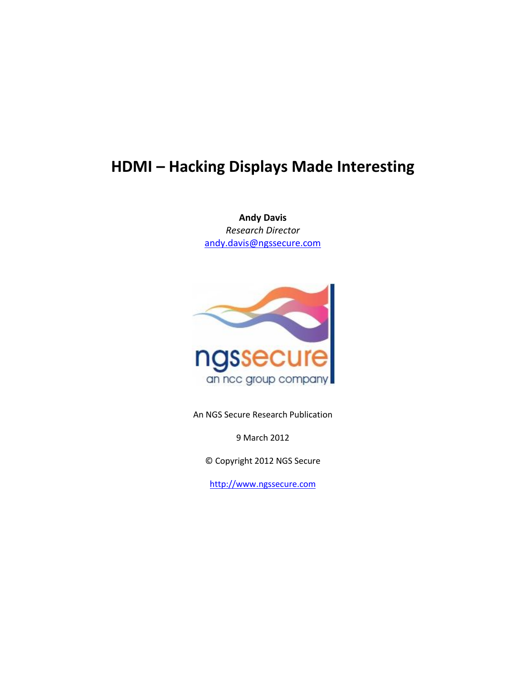**Andy Davis** *Research Director* [andy.davis@ngssecure.com](mailto:andy.davis@ngssecure.com)



An NGS Secure Research Publication

9 March 2012

© Copyright 2012 NGS Secure

[http://www.ngssecure.com](http://www.ngssecure.com/)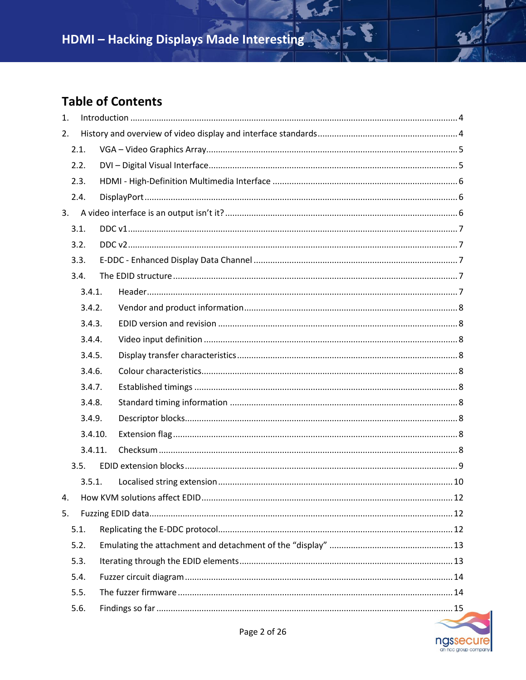# **Table of Contents**

| 2.<br>2.1.<br>2.2.<br>2.3.<br>2.4.<br>3.<br>3.1.<br>3.2.<br>3.3.<br>3.4. |  |  |  |  |  |
|--------------------------------------------------------------------------|--|--|--|--|--|
|                                                                          |  |  |  |  |  |
|                                                                          |  |  |  |  |  |
|                                                                          |  |  |  |  |  |
|                                                                          |  |  |  |  |  |
|                                                                          |  |  |  |  |  |
|                                                                          |  |  |  |  |  |
|                                                                          |  |  |  |  |  |
|                                                                          |  |  |  |  |  |
|                                                                          |  |  |  |  |  |
|                                                                          |  |  |  |  |  |
| 3.4.1.                                                                   |  |  |  |  |  |
| 3.4.2.                                                                   |  |  |  |  |  |
| 3.4.3.                                                                   |  |  |  |  |  |
| 3.4.4.                                                                   |  |  |  |  |  |
| 3.4.5.                                                                   |  |  |  |  |  |
| 3.4.6.                                                                   |  |  |  |  |  |
| 3.4.7.                                                                   |  |  |  |  |  |
| 3.4.8.                                                                   |  |  |  |  |  |
| 3.4.9.                                                                   |  |  |  |  |  |
| 3.4.10.                                                                  |  |  |  |  |  |
| 3.4.11.                                                                  |  |  |  |  |  |
| 3.5.                                                                     |  |  |  |  |  |
| 3.5.1.                                                                   |  |  |  |  |  |
| 4.                                                                       |  |  |  |  |  |
| 5.                                                                       |  |  |  |  |  |
| 5.1.                                                                     |  |  |  |  |  |
| 5.2.                                                                     |  |  |  |  |  |
| 5.3.                                                                     |  |  |  |  |  |
| 5.4.                                                                     |  |  |  |  |  |
| 5.5.                                                                     |  |  |  |  |  |
| 5.6.                                                                     |  |  |  |  |  |

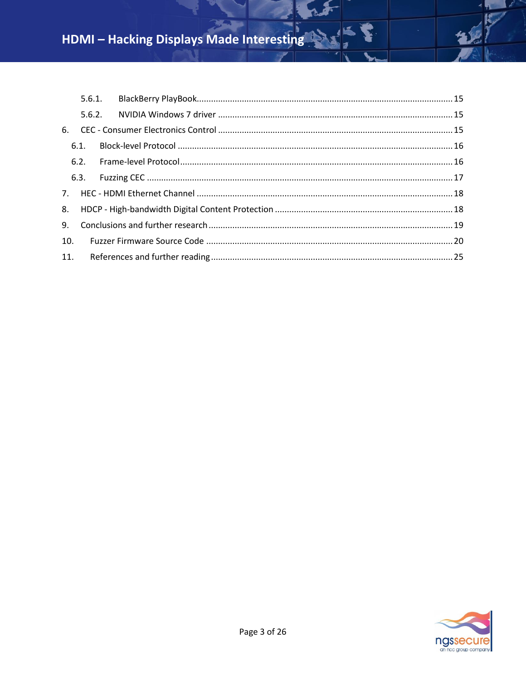|     | 6.1. |  |  |  |  |  |  |  |
|-----|------|--|--|--|--|--|--|--|
|     |      |  |  |  |  |  |  |  |
|     |      |  |  |  |  |  |  |  |
|     |      |  |  |  |  |  |  |  |
|     |      |  |  |  |  |  |  |  |
|     |      |  |  |  |  |  |  |  |
| 10. |      |  |  |  |  |  |  |  |
|     |      |  |  |  |  |  |  |  |



b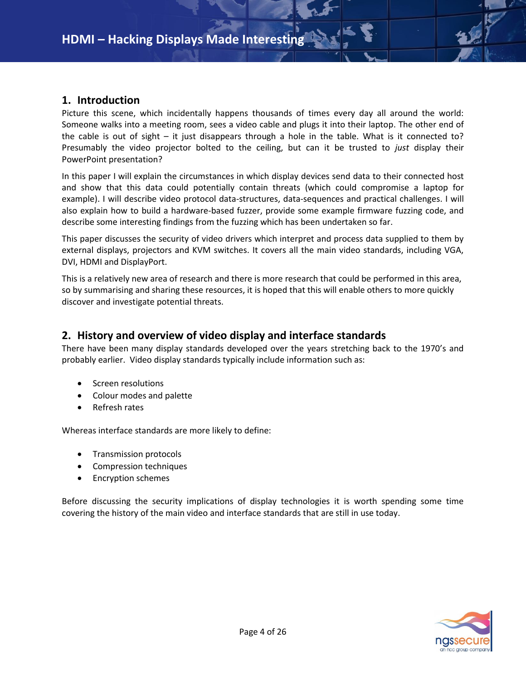### <span id="page-3-0"></span>**1. Introduction**

Picture this scene, which incidentally happens thousands of times every day all around the world: Someone walks into a meeting room, sees a video cable and plugs it into their laptop. The other end of the cable is out of sight – it just disappears through a hole in the table. What is it connected to? Presumably the video projector bolted to the ceiling, but can it be trusted to *just* display their PowerPoint presentation?

In this paper I will explain the circumstances in which display devices send data to their connected host and show that this data could potentially contain threats (which could compromise a laptop for example). I will describe video protocol data-structures, data-sequences and practical challenges. I will also explain how to build a hardware-based fuzzer, provide some example firmware fuzzing code, and describe some interesting findings from the fuzzing which has been undertaken so far.

This paper discusses the security of video drivers which interpret and process data supplied to them by external displays, projectors and KVM switches. It covers all the main video standards, including VGA, DVI, HDMI and DisplayPort.

This is a relatively new area of research and there is more research that could be performed in this area, so by summarising and sharing these resources, it is hoped that this will enable others to more quickly discover and investigate potential threats.

### <span id="page-3-1"></span>**2. History and overview of video display and interface standards**

There have been many display standards developed over the years stretching back to the 1970's and probably earlier. Video display standards typically include information such as:

- Screen resolutions
- Colour modes and palette
- Refresh rates

Whereas interface standards are more likely to define:

- **•** Transmission protocols
- Compression techniques
- Encryption schemes

Before discussing the security implications of display technologies it is worth spending some time covering the history of the main video and interface standards that are still in use today.

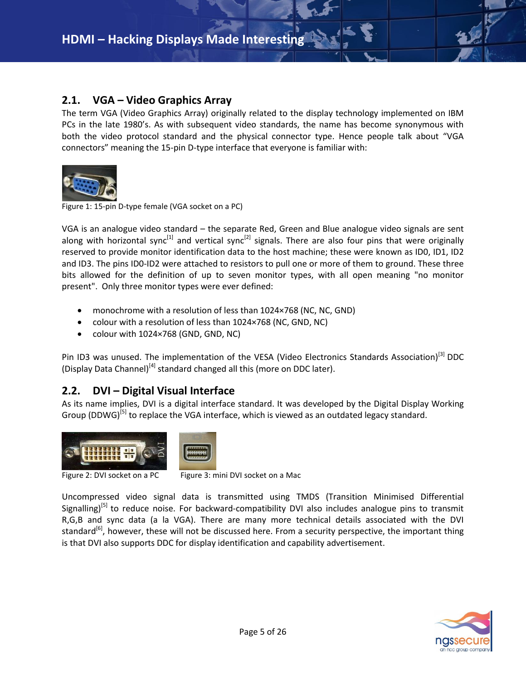## <span id="page-4-0"></span>**2.1. VGA – Video Graphics Array**

The term VGA (Video Graphics Array) originally related to the display technology implemented on IBM PCs in the late 1980's. As with subsequent video standards, the name has become synonymous with both the video protocol standard and the physical connector type. Hence people talk about "VGA connectors" meaning the 15-pin D-type interface that everyone is familiar with:



Figure 1: 15-pin D-type female (VGA socket on a PC)

VGA is an analogue video standard – the separate Red, Green and Blue analogue video signals are sent along with horizontal sync<sup>[1]</sup> and vertical sync<sup>[2]</sup> signals. There are also four pins that were originally reserved to provide monitor identification data to the host machine; these were known as ID0, ID1, ID2 and ID3. The pins ID0-ID2 were attached to resistors to pull one or more of them to ground. These three bits allowed for the definition of up to seven monitor types, with all open meaning "no monitor present". Only three monitor types were ever defined:

- monochrome with a resolution of less than 1024×768 (NC, NC, GND)
- colour with a resolution of less than 1024×768 (NC, GND, NC)
- colour with 1024×768 (GND, GND, NC)

Pin ID3 was unused. The implementation of the VESA (Video Electronics Standards Association)<sup>[3]</sup> DDC (Display Data Channel)<sup>[4]</sup> standard changed all this (more on DDC later).

# <span id="page-4-1"></span>**2.2. DVI – Digital Visual Interface**

As its name implies, DVI is a digital interface standard. It was developed by the Digital Display Working Group (DDWG)<sup>[5]</sup> to replace the VGA interface, which is viewed as an outdated legacy standard.



Figure 2: DVI socket on a PC Figure 3: mini DVI socket on a Mac

Uncompressed video signal data is transmitted using TMDS (Transition Minimised Differential Signalling)<sup>[5]</sup> to reduce noise. For backward-compatibility DVI also includes analogue pins to transmit R,G,B and sync data (a la VGA). There are many more technical details associated with the DVI standard<sup>[6]</sup>, however, these will not be discussed here. From a security perspective, the important thing is that DVI also supports DDC for display identification and capability advertisement.

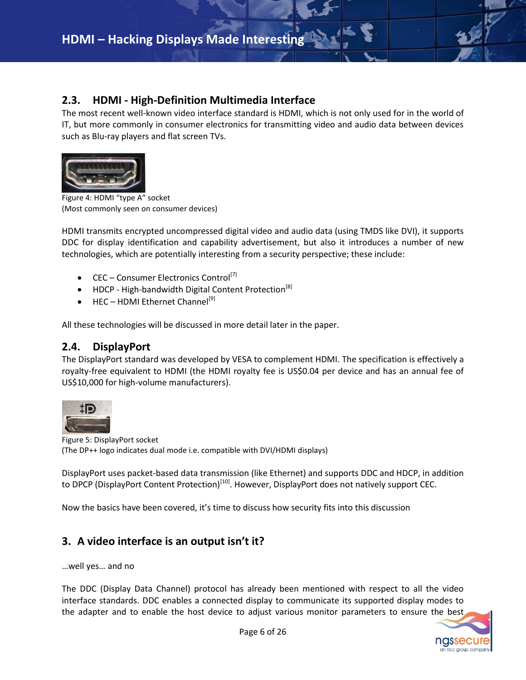# <span id="page-5-0"></span>**2.3. HDMI - High-Definition Multimedia Interface**

The most recent well-known video interface standard is HDMI, which is not only used for in the world of IT, but more commonly in consumer electronics for transmitting video and audio data between devices such as Blu-ray players and flat screen TVs.



Figure 4: HDMI "type A" socket (Most commonly seen on consumer devices)

HDMI transmits encrypted uncompressed digital video and audio data (using TMDS like DVI), it supports DDC for display identification and capability advertisement, but also it introduces a number of new technologies, which are potentially interesting from a security perspective; these include:

- CEC Consumer Electronics Control<sup>[7]</sup>
- $\bullet$  HDCP High-bandwidth Digital Content Protection<sup>[8]</sup>
- HEC HDMI Ethernet Channel<sup>[9]</sup>

<span id="page-5-1"></span>All these technologies will be discussed in more detail later in the paper.

### **2.4. DisplayPort**

The DisplayPort standard was developed by VESA to complement HDMI. The specification is effectively a royalty-free equivalent to HDMI (the HDMI royalty fee is US\$0.04 per device and has an annual fee of US\$10,000 for high-volume manufacturers).



Figure 5: DisplayPort socket (The DP++ logo indicates dual mode i.e. compatible with DVI/HDMI displays)

DisplayPort uses packet-based data transmission (like Ethernet) and supports DDC and HDCP, in addition to DPCP (DisplayPort Content Protection)<sup>[10]</sup>. However, DisplayPort does not natively support CEC.

<span id="page-5-2"></span>Now the basics have been covered, it's time to discuss how security fits into this discussion

# **3. A video interface is an output isn't it?**

…well yes… and no

The DDC (Display Data Channel) protocol has already been mentioned with respect to all the video interface standards. DDC enables a connected display to communicate its supported display modes to the adapter and to enable the host device to adjust various monitor parameters to ensure the best

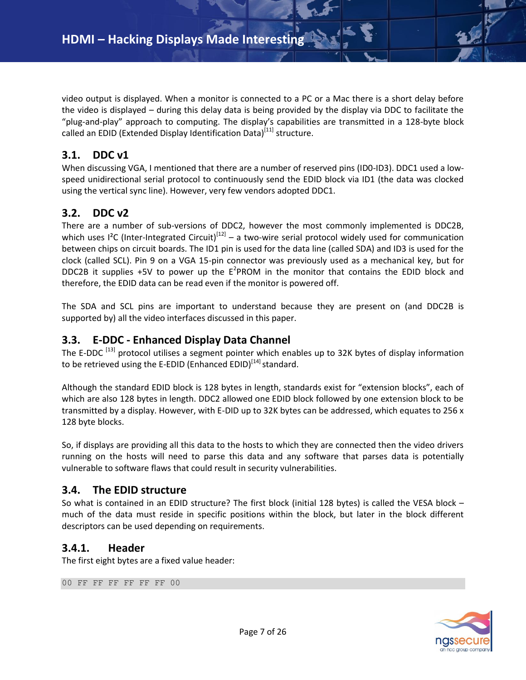video output is displayed. When a monitor is connected to a PC or a Mac there is a short delay before the video is displayed – during this delay data is being provided by the display via DDC to facilitate the "plug-and-play" approach to computing. The display's capabilities are transmitted in a 128-byte block called an EDID (Extended Display Identification Data)<sup>[11]</sup> structure.

### <span id="page-6-0"></span>**3.1. DDC v1**

When discussing VGA, I mentioned that there are a number of reserved pins (ID0-ID3). DDC1 used a lowspeed unidirectional serial protocol to continuously send the EDID block via ID1 (the data was clocked using the vertical sync line). However, very few vendors adopted DDC1.

## <span id="page-6-1"></span>**3.2. DDC v2**

There are a number of sub-versions of DDC2, however the most commonly implemented is DDC2B, which uses I<sup>2</sup>C (Inter-Integrated Circuit)<sup>[12]</sup> – a two-wire serial protocol widely used for communication between chips on circuit boards. The ID1 pin is used for the data line (called SDA) and ID3 is used for the clock (called SCL). Pin 9 on a VGA 15-pin connector was previously used as a mechanical key, but for DDC2B it supplies +5V to power up the  $E^2$ PROM in the monitor that contains the EDID block and therefore, the EDID data can be read even if the monitor is powered off.

The SDA and SCL pins are important to understand because they are present on (and DDC2B is supported by) all the video interfaces discussed in this paper.

### <span id="page-6-2"></span>**3.3. E-DDC - Enhanced Display Data Channel**

The E-DDC <sup>[13]</sup> protocol utilises a segment pointer which enables up to 32K bytes of display information to be retrieved using the E-EDID (Enhanced EDID)<sup>[14]</sup> standard.

Although the standard EDID block is 128 bytes in length, standards exist for "extension blocks", each of which are also 128 bytes in length. DDC2 allowed one EDID block followed by one extension block to be transmitted by a display. However, with E-DID up to 32K bytes can be addressed, which equates to 256 x 128 byte blocks.

So, if displays are providing all this data to the hosts to which they are connected then the video drivers running on the hosts will need to parse this data and any software that parses data is potentially vulnerable to software flaws that could result in security vulnerabilities.

### <span id="page-6-3"></span>**3.4. The EDID structure**

So what is contained in an EDID structure? The first block (initial 128 bytes) is called the VESA block – much of the data must reside in specific positions within the block, but later in the block different descriptors can be used depending on requirements.

### <span id="page-6-4"></span>**3.4.1. Header**

The first eight bytes are a fixed value header:

00 FF FF FF FF FF FF 00

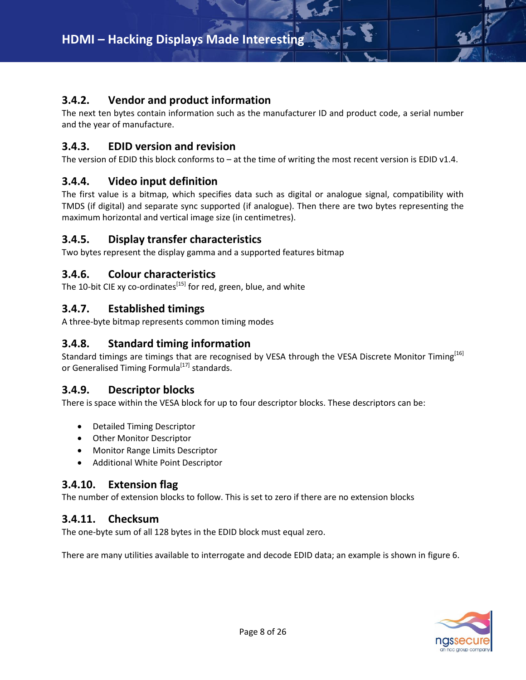# <span id="page-7-0"></span>**3.4.2. Vendor and product information**

The next ten bytes contain information such as the manufacturer ID and product code, a serial number and the year of manufacture.

# <span id="page-7-1"></span>**3.4.3. EDID version and revision**

The version of EDID this block conforms to – at the time of writing the most recent version is EDID v1.4.

## <span id="page-7-2"></span>**3.4.4. Video input definition**

The first value is a bitmap, which specifies data such as digital or analogue signal, compatibility with TMDS (if digital) and separate sync supported (if analogue). Then there are two bytes representing the maximum horizontal and vertical image size (in centimetres).

## <span id="page-7-3"></span>**3.4.5. Display transfer characteristics**

Two bytes represent the display gamma and a supported features bitmap

## <span id="page-7-4"></span>**3.4.6. Colour characteristics**

<span id="page-7-5"></span>The 10-bit CIE xy co-ordinates<sup>[15]</sup> for red, green, blue, and white

## **3.4.7. Established timings**

A three-byte bitmap represents common timing modes

# <span id="page-7-6"></span>**3.4.8. Standard timing information**

Standard timings are timings that are recognised by VESA through the VESA Discrete Monitor Timing<sup>[16]</sup> or Generalised Timing Formula<sup>[17]</sup> standards.

# <span id="page-7-7"></span>**3.4.9. Descriptor blocks**

There is space within the VESA block for up to four descriptor blocks. These descriptors can be:

- Detailed Timing Descriptor
- Other Monitor Descriptor
- Monitor Range Limits Descriptor
- Additional White Point Descriptor

# <span id="page-7-8"></span>**3.4.10. Extension flag**

<span id="page-7-9"></span>The number of extension blocks to follow. This is set to zero if there are no extension blocks

# **3.4.11. Checksum**

The one-byte sum of all 128 bytes in the EDID block must equal zero.

There are many utilities available to interrogate and decode EDID data; an example is shown in figure 6.

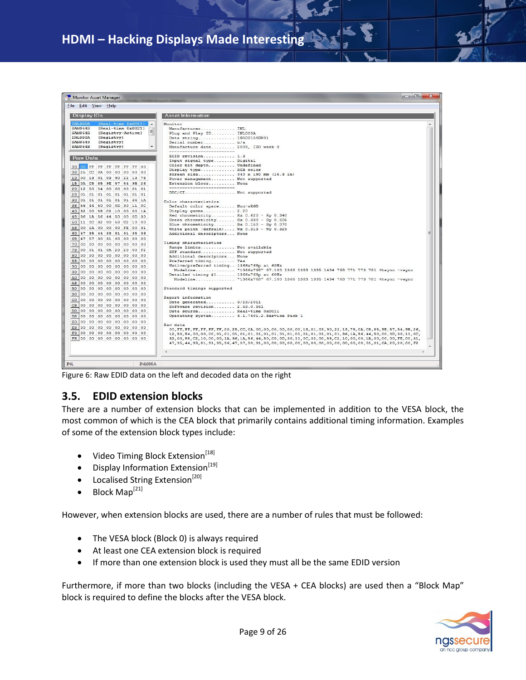| Monitor Asset Manager                                                            | $\mathcal{R}$<br><b>CONSTRUCTION</b>                                                                                            |  |  |  |  |  |  |  |
|----------------------------------------------------------------------------------|---------------------------------------------------------------------------------------------------------------------------------|--|--|--|--|--|--|--|
| <b>Eile Edit View Help</b>                                                       |                                                                                                                                 |  |  |  |  |  |  |  |
|                                                                                  |                                                                                                                                 |  |  |  |  |  |  |  |
| <b>Display IDs</b>                                                               | <b>Asset Information</b>                                                                                                        |  |  |  |  |  |  |  |
| <b>INLOOOA</b><br>[Real-time 0x0011]<br>$\overline{\phantom{a}}$                 | Monitor                                                                                                                         |  |  |  |  |  |  |  |
| <b>SAMO64B</b><br>[Real-time 0x0021]<br>$\equiv$<br>SAMO64B<br>[Registry-Active] | Manufacturer INL                                                                                                                |  |  |  |  |  |  |  |
| INLO00A<br>[Registry]                                                            | Plug and Play ID INL000A<br>Data string 1G5D3156GW01                                                                            |  |  |  |  |  |  |  |
| SAM0649<br>[Registry]                                                            | Serial number n/a                                                                                                               |  |  |  |  |  |  |  |
| SAM064B<br>[Registry]                                                            | Manufacture date 2009. ISO week 0                                                                                               |  |  |  |  |  |  |  |
|                                                                                  | --------------------------                                                                                                      |  |  |  |  |  |  |  |
| <b>Raw Data</b>                                                                  | EDID revision 1.3                                                                                                               |  |  |  |  |  |  |  |
|                                                                                  | Input signal type Digital<br>Color bit depth Undefined                                                                          |  |  |  |  |  |  |  |
| 00 00 FF FF FF FF FF FF 00                                                       | Display type RGB color                                                                                                          |  |  |  |  |  |  |  |
| 08 25 CC 0A 00 00 00 00 00                                                       | Screen size 340 x 190 mm (15.3 in)                                                                                              |  |  |  |  |  |  |  |
| 10 00 13 01 03 90 22 13 78                                                       | Power management Not supported                                                                                                  |  |  |  |  |  |  |  |
| 18 0A C8 85 9E 57 54 9B 26                                                       | Extension blocs None                                                                                                            |  |  |  |  |  |  |  |
| 20 12 50 54 00 00 00 01 01                                                       | --------------------------                                                                                                      |  |  |  |  |  |  |  |
| 28 01 01 01 01 01 01 01 01                                                       | DDC/CI Not supported                                                                                                            |  |  |  |  |  |  |  |
| 30 01 01 01 01 01 01 36 1A                                                       | Color characteristics                                                                                                           |  |  |  |  |  |  |  |
| 38 56 44 50 00 0D 30 11 0C                                                       | Default color space Non-sRGB                                                                                                    |  |  |  |  |  |  |  |
| 40 32 00 58 C2 10 00 00 1A                                                       | Display gamma 2.20                                                                                                              |  |  |  |  |  |  |  |
| 48 36 1A 56 44 50 00 0D 30                                                       | Red chromaticity Rx 0.620 - Ry 0.340                                                                                            |  |  |  |  |  |  |  |
| 50 11 0C 32 00 58 C2 10 00                                                       | Green chromaticity Gx 0.330 - Gy 0.605                                                                                          |  |  |  |  |  |  |  |
| 58 00 1A 00 00 00 FE 00 31                                                       | Blue chromaticity Bx 0.150 - By 0.070                                                                                           |  |  |  |  |  |  |  |
|                                                                                  | White point (default) Wx 0.313 - Wy 0.329                                                                                       |  |  |  |  |  |  |  |
| 60 47 35 44 33 81 31 35 36                                                       | Additional descriptors None                                                                                                     |  |  |  |  |  |  |  |
| 68 47 57 30 31 00 00 00 00                                                       | Timing characteristics                                                                                                          |  |  |  |  |  |  |  |
| 70 00 00 00 00 00 00 00 00                                                       | Range limits Not available                                                                                                      |  |  |  |  |  |  |  |
| 78 00 01 01 0A 20 20 00 F2                                                       | GTF standard Not supported                                                                                                      |  |  |  |  |  |  |  |
| 80 00 00 00 00 00 00 00 00                                                       | Additional descriptors None                                                                                                     |  |  |  |  |  |  |  |
| 88 00 00 00 00 00 00 00 00                                                       | Preferred timing Yes                                                                                                            |  |  |  |  |  |  |  |
| 90 00 00 00 00 00 00 00 00                                                       | Native/preferred timing 1366x768p at 60Hz                                                                                       |  |  |  |  |  |  |  |
| 98 00 00 00 00 00 00 00 00                                                       | Modeline "1366x768" 67.100 1366 1383 1395 1434 768 771 773 781 +hsync -vsync                                                    |  |  |  |  |  |  |  |
| A0 00 00 00 00 00 00 00 00                                                       | Detailed timing #1 1366x768p at 60Hz<br>Modeline "1366x768" 67.100 1366 1383 1395 1434 768 771 773 781 +hsync -vsync            |  |  |  |  |  |  |  |
| A8 00 00 00 00 00 00 00 00                                                       |                                                                                                                                 |  |  |  |  |  |  |  |
| B0 00 00 00 00 00 00 00 00                                                       | Standard timings supported                                                                                                      |  |  |  |  |  |  |  |
| B8 00 00 00 00 00 00 00 00                                                       |                                                                                                                                 |  |  |  |  |  |  |  |
| CO 00 00 00 00 00 00 00 00                                                       | Report information                                                                                                              |  |  |  |  |  |  |  |
| C8 00 00 00 00 00 00 00 00                                                       | Date generated 3/23/2011                                                                                                        |  |  |  |  |  |  |  |
| po 00 00 00 00 00 00 00 00                                                       | Software revision 2.53.0.861                                                                                                    |  |  |  |  |  |  |  |
| ps 00 00 00 00 00 00 00 00                                                       | Data source Real-time 0x0011<br>Operating system 6.1.7601.2.Service Pack 1                                                      |  |  |  |  |  |  |  |
|                                                                                  |                                                                                                                                 |  |  |  |  |  |  |  |
| E0 00 00 00 00 00 00 00 00                                                       | Raw data                                                                                                                        |  |  |  |  |  |  |  |
| E8 00 00 00 00 00 00 00 00                                                       | 00, FF, FF, FF, FF, FF, FF, 00, 25, CC, 0A, 00, 00, 00, 00, 00, 00, 13, 01, 03, 90, 22, 13, 78, 0A, C8, 85, 9E, 57, 54, 9B, 26, |  |  |  |  |  |  |  |
| F0 00 00 00 00 00 00 00 00                                                       |                                                                                                                                 |  |  |  |  |  |  |  |
| F8 00 00 00 00 00 00 00 00                                                       | 32,00,58,C2,10,00,00,1A,36,1A,56,44,50,00,0D,30,11,0C,32,00,58,C2,10,00,00,1A,00,00,00,FE,00,31,                                |  |  |  |  |  |  |  |
|                                                                                  |                                                                                                                                 |  |  |  |  |  |  |  |
|                                                                                  |                                                                                                                                 |  |  |  |  |  |  |  |
|                                                                                  |                                                                                                                                 |  |  |  |  |  |  |  |
| <b>INL</b><br>INL000A                                                            |                                                                                                                                 |  |  |  |  |  |  |  |
|                                                                                  |                                                                                                                                 |  |  |  |  |  |  |  |

<span id="page-8-0"></span>Figure 6: Raw EDID data on the left and decoded data on the right

### **3.5. EDID extension blocks**

There are a number of extension blocks that can be implemented in addition to the VESA block, the most common of which is the CEA block that primarily contains additional timing information. Examples of some of the extension block types include:

- Video Timing Block Extension<sup>[18]</sup>
- $\bullet$  Display Information Extension<sup>[19]</sup>
- $\bullet$  Localised String Extension<sup>[20]</sup>
- $\bullet$  Block Map<sup>[21]</sup>

However, when extension blocks are used, there are a number of rules that must be followed:

- The VESA block (Block 0) is always required
- At least one CEA extension block is required
- If more than one extension block is used they must all be the same EDID version

Furthermore, if more than two blocks (including the VESA + CEA blocks) are used then a "Block Map" block is required to define the blocks after the VESA block.

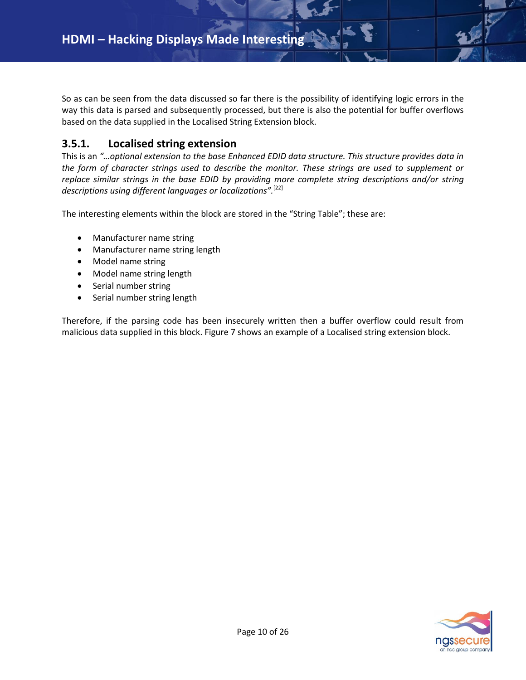So as can be seen from the data discussed so far there is the possibility of identifying logic errors in the way this data is parsed and subsequently processed, but there is also the potential for buffer overflows based on the data supplied in the Localised String Extension block.

# <span id="page-9-0"></span>**3.5.1. Localised string extension**

This is an *"…optional extension to the base Enhanced EDID data structure. This structure provides data in the form of character strings used to describe the monitor. These strings are used to supplement or replace similar strings in the base EDID by providing more complete string descriptions and/or string descriptions using different languages or localizations".* [22]

The interesting elements within the block are stored in the "String Table"; these are:

- Manufacturer name string
- Manufacturer name string length
- Model name string
- Model name string length
- Serial number string
- Serial number string length

Therefore, if the parsing code has been insecurely written then a buffer overflow could result from malicious data supplied in this block. Figure 7 shows an example of a Localised string extension block.

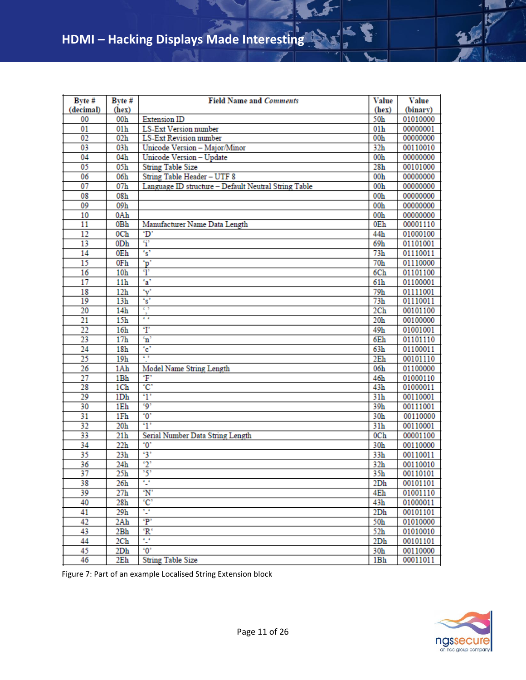| Byte #          | Byte #          | <b>Field Name and Comments</b>                       | Value           | Value    |
|-----------------|-----------------|------------------------------------------------------|-----------------|----------|
| (decimal)       | (hex)           |                                                      | (hex)           | (binary) |
| 00              | 00 <sub>h</sub> | <b>Extension ID</b>                                  | 50h             | 01010000 |
| 01              | 01 <sub>h</sub> | <b>LS-Ext Version number</b>                         | 01 <sub>h</sub> | 00000001 |
| 02              | 02h             | <b>LS-Ext Revision number</b>                        | 00 <sub>h</sub> | 00000000 |
| 03              | 03 <sub>h</sub> | Unicode Version - Major/Minor                        | 32 <sub>h</sub> | 00110010 |
| 04              | 04 <sub>h</sub> | Unicode Version - Update                             | 00 <sub>h</sub> | 00000000 |
| $\overline{05}$ | 05 <sub>h</sub> | <b>String Table Size</b>                             | 28 <sub>h</sub> | 00101000 |
| 06              | 06h             | String Table Header - UTF 8                          | 00 <sub>h</sub> | 00000000 |
| 07              | 07 <sub>h</sub> | Language ID structure - Default Neutral String Table | 00 <sub>h</sub> | 00000000 |
| 08              | 08 <sub>h</sub> |                                                      | 00h             | 00000000 |
| 09              | 09h             |                                                      | 00h             | 00000000 |
| 10              | 0Ah             |                                                      | 00 <sub>h</sub> | 00000000 |
| 11              | 0Bh             | Manufacturer Name Data Length                        | 0Eh             | 00001110 |
| 12              | 0C <sub>h</sub> | 'D'                                                  | 44h             | 01000100 |
| 13              | 0D <sub>h</sub> | $\ddot{\mathbf{i}}$                                  | 69h             | 01101001 |
| 14              | 0Eh             | $\mathbf{s}$                                         | 73h             | 01110011 |
| 15              | 0Fh             | 'p'                                                  | 70 <sub>h</sub> | 01110000 |
| 16              | 10 <sub>h</sub> | $\overline{\mathbf{T}}$                              | 6C <sub>h</sub> | 01101100 |
| 17              | 11 <sub>h</sub> | $a^2$                                                | 61 <sub>h</sub> | 01100001 |
| 18              | 12 <sub>h</sub> | $\mathbf{v}$                                         | 79 <sub>h</sub> | 01111001 |
| 19              | 13 <sub>h</sub> | $\cdot$ s'                                           | 73h             | 01110011 |
| 20              | 14h             | c s                                                  | 2 <sub>Ch</sub> | 00101100 |
| $\overline{21}$ | 15 <sub>h</sub> | $\mathfrak{c}\cdot\mathfrak{c}$                      | 20 <sub>h</sub> | 00100000 |
| 22              | 16 <sub>h</sub> | $T$                                                  | 49h             | 01001001 |
| 23              | 17 <sub>h</sub> | $\overline{\mathbf{n}}$                              | 6Eh             | 01101110 |
| 24              | 18 <sub>h</sub> | $^{\circ}$ c $^{\circ}$                              | 63h             | 01100011 |
| 25              | 19 <sub>h</sub> | c s                                                  | 2E <sub>h</sub> | 00101110 |
| 26              | 1Ah             | Model Name String Length                             | 06h             | 01100000 |
| 27              | 1Bh             | Ŧ                                                    | 46h             | 01000110 |
| 28              | 1Ch             | $^{\circ}C^{\circ}$                                  | 43h             | 01000011 |
| 29              | 1 <sub>Dh</sub> | $\mathbf{r}$                                         | 31 <sub>h</sub> | 00110001 |
| 30              | 1E <sub>h</sub> | .9'                                                  | 39h             | 00111001 |
| 31              | 1Fh             | 0 <sup>2</sup>                                       | 30 <sub>h</sub> | 00110000 |
| 32              | 20 <sub>h</sub> | $\cdot$ <sup>1</sup>                                 | 31 <sub>h</sub> | 00110001 |
| 33              | 21 <sub>h</sub> | Serial Number Data String Length                     | 0 <sub>Ch</sub> | 00001100 |
| 34              | 22 <sub>h</sub> | $^{\circ}0^{\circ}$                                  | 30 <sub>h</sub> | 00110000 |
| 35              | 23 <sub>h</sub> | 3'                                                   | 33 <sub>h</sub> | 00110011 |
| 36              | 24h             | $\cdot_2$                                            | 32 <sub>h</sub> | 00110010 |
| $\overline{37}$ | 25 <sub>h</sub> | $\overline{5}$                                       | 35 <sub>h</sub> | 00110101 |
| 38              | 26h             | £                                                    | 2D <sub>h</sub> | 00101101 |
| 39              | 27 <sub>h</sub> | $\overline{N}$                                       | 4Eh             | 01001110 |
| 40              | 28 <sub>h</sub> | $^{\circ}C^{\circ}$                                  | 43h             | 01000011 |
| 41              | 29 <sub>h</sub> | t,                                                   | 2D <sub>h</sub> | 00101101 |
| 42              | 2Ah             | $\mathbf{P}$                                         | 50 <sub>h</sub> | 01010000 |
| 43              | 2Bh             | ٤R٠                                                  | 52 <sub>h</sub> | 01010010 |
| 44              | 2Ch             | $\mathbb{C}^2$                                       | 2D <sub>h</sub> | 00101101 |
| 45              | 2D <sub>h</sub> | $\overline{0}$                                       | 30 <sub>h</sub> | 00110000 |
| 46              | 2Eh             | <b>String Table Size</b>                             | 1Bh             | 00011011 |

Figure 7: Part of an example Localised String Extension block

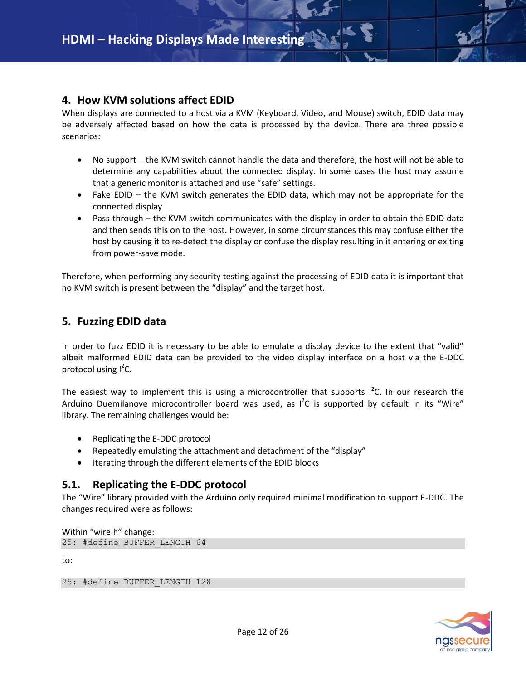## <span id="page-11-0"></span>**4. How KVM solutions affect EDID**

When displays are connected to a host via a KVM (Keyboard, Video, and Mouse) switch, EDID data may be adversely affected based on how the data is processed by the device. There are three possible scenarios:

- No support the KVM switch cannot handle the data and therefore, the host will not be able to determine any capabilities about the connected display. In some cases the host may assume that a generic monitor is attached and use "safe" settings.
- Fake EDID the KVM switch generates the EDID data, which may not be appropriate for the connected display
- Pass-through the KVM switch communicates with the display in order to obtain the EDID data and then sends this on to the host. However, in some circumstances this may confuse either the host by causing it to re-detect the display or confuse the display resulting in it entering or exiting from power-save mode.

<span id="page-11-1"></span>Therefore, when performing any security testing against the processing of EDID data it is important that no KVM switch is present between the "display" and the target host.

## **5. Fuzzing EDID data**

In order to fuzz EDID it is necessary to be able to emulate a display device to the extent that "valid" albeit malformed EDID data can be provided to the video display interface on a host via the E-DDC protocol using I<sup>2</sup>C.

The easiest way to implement this is using a microcontroller that supports  $I^2C$ . In our research the Arduino Duemilanove microcontroller board was used, as  $I^2C$  is supported by default in its "Wire" library. The remaining challenges would be:

- Replicating the E-DDC protocol
- Repeatedly emulating the attachment and detachment of the "display"
- Iterating through the different elements of the EDID blocks

# <span id="page-11-2"></span>**5.1. Replicating the E-DDC protocol**

The "Wire" library provided with the Arduino only required minimal modification to support E-DDC. The changes required were as follows:

Within "wire.h" change:

25: #define BUFFER\_LENGTH 64

to:

25: #define BUFFER\_LENGTH 128

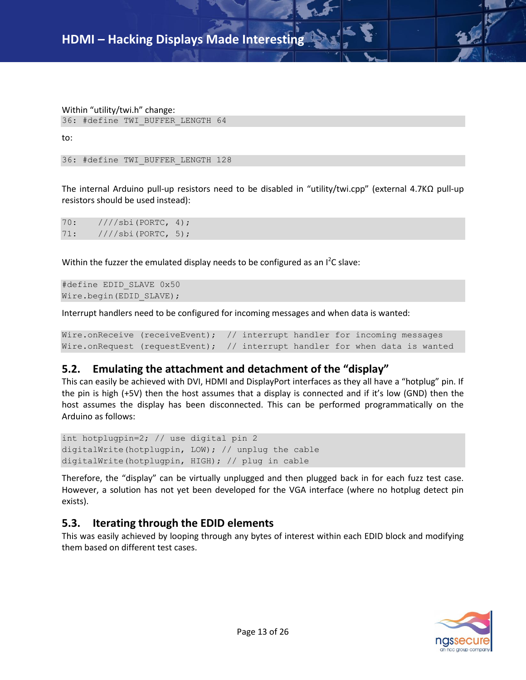Within "utility/twi.h" change: 36: #define TWI\_BUFFER\_LENGTH 64

to:

36: #define TWI\_BUFFER\_LENGTH 128

The internal Arduino pull-up resistors need to be disabled in "utility/twi.cpp" (external 4.7KΩ pull-up resistors should be used instead):

70: ////sbi(PORTC, 4); 71: ////sbi(PORTC, 5);

Within the fuzzer the emulated display needs to be configured as an  $I^2C$  slave:

```
#define EDID_SLAVE 0x50
Wire.begin(EDID_SLAVE);
```
Interrupt handlers need to be configured for incoming messages and when data is wanted:

Wire.onReceive (receiveEvent); // interrupt handler for incoming messages Wire.onRequest (requestEvent); // interrupt handler for when data is wanted

### <span id="page-12-0"></span>**5.2. Emulating the attachment and detachment of the "display"**

This can easily be achieved with DVI, HDMI and DisplayPort interfaces as they all have a "hotplug" pin. If the pin is high (+5V) then the host assumes that a display is connected and if it's low (GND) then the host assumes the display has been disconnected. This can be performed programmatically on the Arduino as follows:

int hotplugpin=2; // use digital pin 2 digitalWrite(hotplugpin, LOW); // unplug the cable digitalWrite(hotplugpin, HIGH); // plug in cable

Therefore, the "display" can be virtually unplugged and then plugged back in for each fuzz test case. However, a solution has not yet been developed for the VGA interface (where no hotplug detect pin exists).

# <span id="page-12-1"></span>**5.3. Iterating through the EDID elements**

This was easily achieved by looping through any bytes of interest within each EDID block and modifying them based on different test cases.

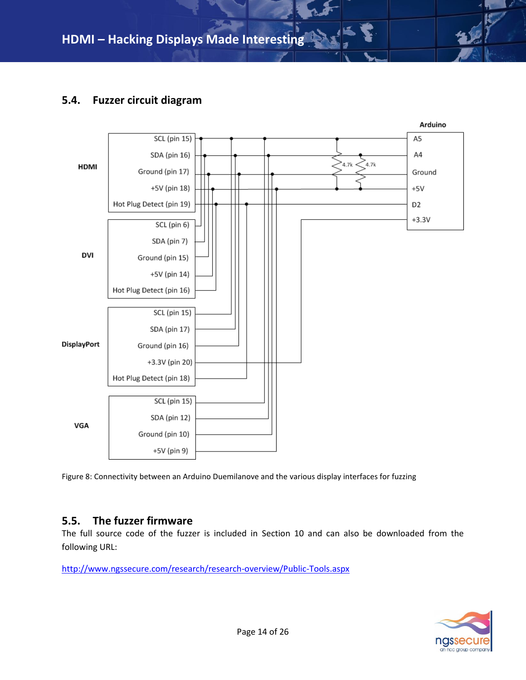# <span id="page-13-0"></span>**5.4. Fuzzer circuit diagram**



Figure 8: Connectivity between an Arduino Duemilanove and the various display interfaces for fuzzing

### <span id="page-13-1"></span>**5.5. The fuzzer firmware**

The full source code of the fuzzer is included in Section 10 and can also be downloaded from the following URL:

<http://www.ngssecure.com/research/research-overview/Public-Tools.aspx>

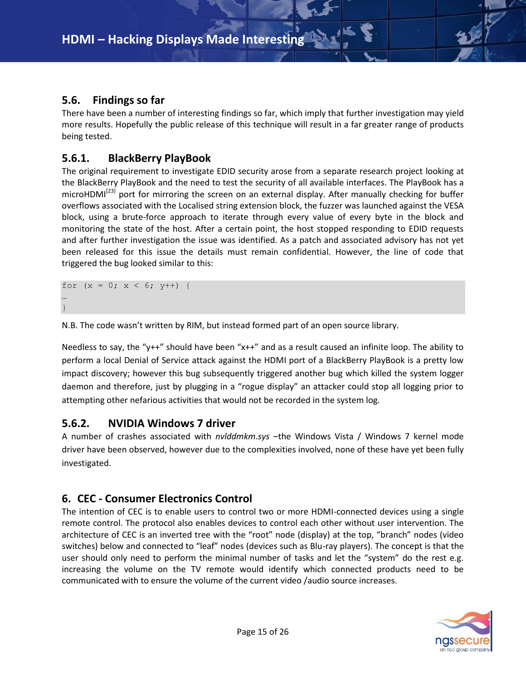# <span id="page-14-0"></span>**5.6. Findings so far**

There have been a number of interesting findings so far, which imply that further investigation may yield more results. Hopefully the public release of this technique will result in a far greater range of products being tested.

# <span id="page-14-1"></span>**5.6.1. BlackBerry PlayBook**

The original requirement to investigate EDID security arose from a separate research project looking at the BlackBerry PlayBook and the need to test the security of all available interfaces. The PlayBook has a microHDMI<sup>[23]</sup> port for mirroring the screen on an external display. After manually checking for buffer overflows associated with the Localised string extension block, the fuzzer was launched against the VESA block, using a brute-force approach to iterate through every value of every byte in the block and monitoring the state of the host. After a certain point, the host stopped responding to EDID requests and after further investigation the issue was identified. As a patch and associated advisory has not yet been released for this issue the details must remain confidential. However, the line of code that triggered the bug looked similar to this:

for  $(x = 0; x < 6; y++)$  { … }

N.B. The code wasn't written by RIM, but instead formed part of an open source library.

Needless to say, the "y++" should have been "x++" and as a result caused an infinite loop. The ability to perform a local Denial of Service attack against the HDMI port of a BlackBerry PlayBook is a pretty low impact discovery; however this bug subsequently triggered another bug which killed the system logger daemon and therefore, just by plugging in a "rogue display" an attacker could stop all logging prior to attempting other nefarious activities that would not be recorded in the system log.

# <span id="page-14-2"></span>**5.6.2. NVIDIA Windows 7 driver**

A number of crashes associated with *nvlddmkm.sys* –the Windows Vista / Windows 7 kernel mode driver have been observed, however due to the complexities involved, none of these have yet been fully investigated.

# <span id="page-14-3"></span>**6. CEC - Consumer Electronics Control**

The intention of CEC is to enable users to control two or more HDMI-connected devices using a single remote control. The protocol also enables devices to control each other without user intervention. The architecture of CEC is an inverted tree with the "root" node (display) at the top, "branch" nodes (video switches) below and connected to "leaf" nodes (devices such as Blu-ray players). The concept is that the user should only need to perform the minimal number of tasks and let the "system" do the rest e.g. increasing the volume on the TV remote would identify which connected products need to be communicated with to ensure the volume of the current video /audio source increases.

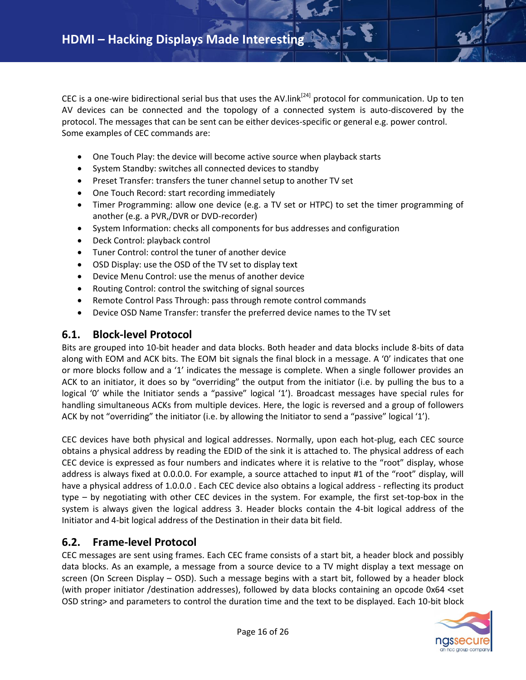CEC is a one-wire bidirectional serial bus that uses the AV.link<sup>[24]</sup> protocol for communication. Up to ten AV devices can be connected and the topology of a connected system is auto-discovered by the protocol. The messages that can be sent can be either devices-specific or general e.g. power control. Some examples of CEC commands are:

- One Touch Play: the device will become active source when playback starts
- System Standby: switches all connected devices to standby
- Preset Transfer: transfers the tuner channel setup to another TV set
- One Touch Record: start recording immediately
- Timer Programming: allow one device (e.g. a TV set or HTPC) to set the timer programming of another (e.g. a PVR,/DVR or DVD-recorder)
- System Information: checks all components for bus addresses and configuration
- Deck Control: playback control
- Tuner Control: control the tuner of another device
- OSD Display: use the OSD of the TV set to display text
- Device Menu Control: use the menus of another device
- Routing Control: control the switching of signal sources
- Remote Control Pass Through: pass through remote control commands
- Device OSD Name Transfer: transfer the preferred device names to the TV set

### <span id="page-15-0"></span>**6.1. Block-level Protocol**

Bits are grouped into 10-bit header and data blocks. Both header and data blocks include 8-bits of data along with EOM and ACK bits. The EOM bit signals the final block in a message. A '0' indicates that one or more blocks follow and a '1' indicates the message is complete. When a single follower provides an ACK to an initiator, it does so by "overriding" the output from the initiator (i.e. by pulling the bus to a logical '0' while the Initiator sends a "passive" logical '1'). Broadcast messages have special rules for handling simultaneous ACKs from multiple devices. Here, the logic is reversed and a group of followers ACK by not "overriding" the initiator (i.e. by allowing the Initiator to send a "passive" logical '1').

CEC devices have both physical and logical addresses. Normally, upon each hot-plug, each CEC source obtains a physical address by reading the EDID of the sink it is attached to. The physical address of each CEC device is expressed as four numbers and indicates where it is relative to the "root" display, whose address is always fixed at 0.0.0.0. For example, a source attached to input #1 of the "root" display, will have a physical address of 1.0.0.0 . Each CEC device also obtains a logical address - reflecting its product type – by negotiating with other CEC devices in the system. For example, the first set-top-box in the system is always given the logical address 3. Header blocks contain the 4-bit logical address of the Initiator and 4-bit logical address of the Destination in their data bit field.

### <span id="page-15-1"></span>**6.2. Frame-level Protocol**

CEC messages are sent using frames. Each CEC frame consists of a start bit, a header block and possibly data blocks. As an example, a message from a source device to a TV might display a text message on screen (On Screen Display – OSD). Such a message begins with a start bit, followed by a header block (with proper initiator /destination addresses), followed by data blocks containing an opcode 0x64 <set OSD string> and parameters to control the duration time and the text to be displayed. Each 10-bit block

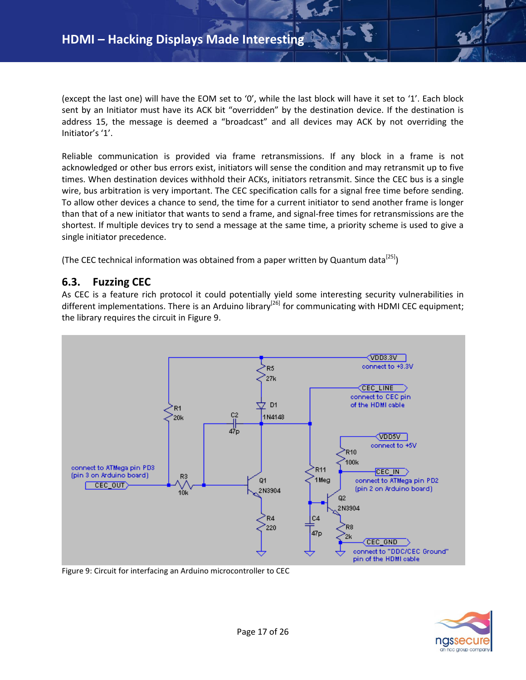(except the last one) will have the EOM set to '0', while the last block will have it set to '1'. Each block sent by an Initiator must have its ACK bit "overridden" by the destination device. If the destination is address 15, the message is deemed a "broadcast" and all devices may ACK by not overriding the Initiator's '1'.

Reliable communication is provided via frame retransmissions. If any block in a frame is not acknowledged or other bus errors exist, initiators will sense the condition and may retransmit up to five times. When destination devices withhold their ACKs, initiators retransmit. Since the CEC bus is a single wire, bus arbitration is very important. The CEC specification calls for a signal free time before sending. To allow other devices a chance to send, the time for a current initiator to send another frame is longer than that of a new initiator that wants to send a frame, and signal-free times for retransmissions are the shortest. If multiple devices try to send a message at the same time, a priority scheme is used to give a single initiator precedence.

(The CEC technical information was obtained from a paper written by Quantum data<sup>[25]</sup>)

## <span id="page-16-0"></span>**6.3. Fuzzing CEC**

As CEC is a feature rich protocol it could potentially yield some interesting security vulnerabilities in different implementations. There is an Arduino library<sup>[26]</sup> for communicating with HDMI CEC equipment; the library requires the circuit in Figure 9.



Figure 9: Circuit for interfacing an Arduino microcontroller to CEC

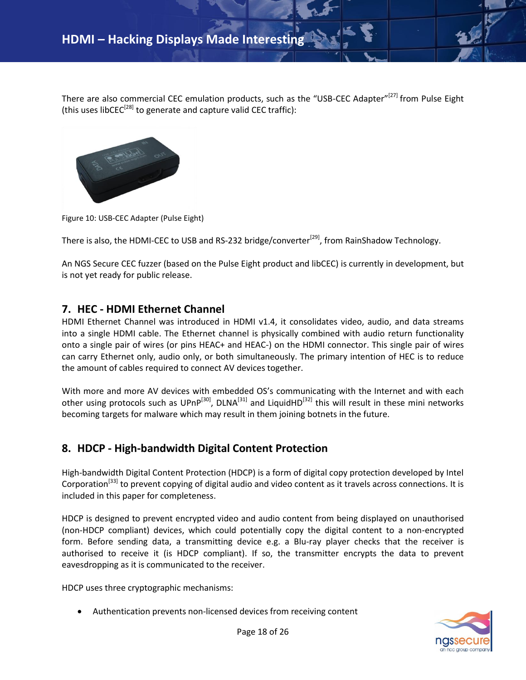There are also commercial CEC emulation products, such as the "USB-CEC Adapter"<sup>[27]</sup> from Pulse Eight (this uses libCEC<sup>[28]</sup> to generate and capture valid CEC traffic):



Figure 10: USB-CEC Adapter (Pulse Eight)

There is also, the HDMI-CEC to USB and RS-232 bridge/converter<sup>[29]</sup>, from RainShadow Technology.

An NGS Secure CEC fuzzer (based on the Pulse Eight product and libCEC) is currently in development, but is not yet ready for public release.

## <span id="page-17-0"></span>**7. HEC - HDMI Ethernet Channel**

HDMI Ethernet Channel was introduced in HDMI v1.4, it consolidates video, audio, and data streams into a single HDMI cable. The Ethernet channel is physically combined with audio return functionality onto a single pair of wires (or pins HEAC+ and HEAC-) on the HDMI connector. This single pair of wires can carry Ethernet only, audio only, or both simultaneously. The primary intention of HEC is to reduce the amount of cables required to connect AV devices together.

With more and more AV devices with embedded OS's communicating with the Internet and with each other using protocols such as UPnP<sup>[30]</sup>, DLNA<sup>[31]</sup> and LiquidHD<sup>[32]</sup> this will result in these mini networks becoming targets for malware which may result in them joining botnets in the future.

# <span id="page-17-1"></span>**8. HDCP - High-bandwidth Digital Content Protection**

High-bandwidth Digital Content Protection (HDCP) is a form of digital copy protection developed by Intel Corporation<sup>[33]</sup> to prevent copying of digital audio and video content as it travels across connections. It is included in this paper for completeness.

HDCP is designed to prevent encrypted video and audio content from being displayed on unauthorised (non-HDCP compliant) devices, which could potentially copy the digital content to a non-encrypted form. Before sending data, a transmitting device e.g. a Blu-ray player checks that the receiver is authorised to receive it (is HDCP compliant). If so, the transmitter encrypts the data to prevent eavesdropping as it is communicated to the receiver.

HDCP uses three cryptographic mechanisms:

Authentication prevents non-licensed devices from receiving content

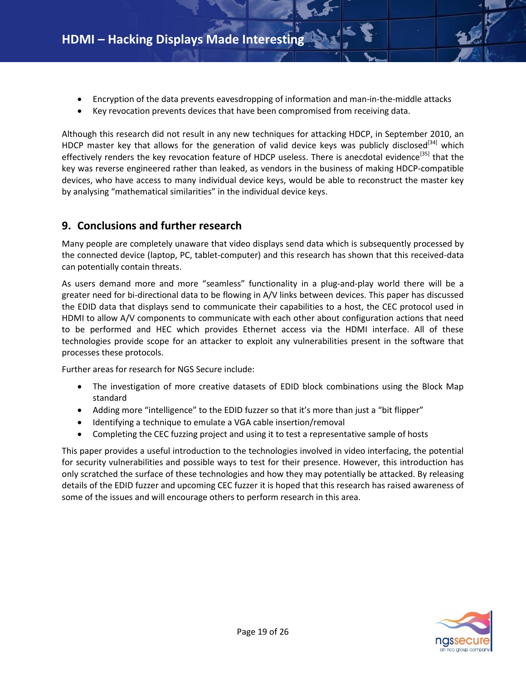- Encryption of the data prevents eavesdropping of information and man-in-the-middle attacks
- Key revocation prevents devices that have been compromised from receiving data.

Although this research did not result in any new techniques for attacking HDCP, in September 2010, an HDCP master key that allows for the generation of valid device keys was publicly disclosed<sup>[34]</sup> which effectively renders the key revocation feature of HDCP useless. There is anecdotal evidence<sup>[35]</sup> that the key was reverse engineered rather than leaked, as vendors in the business of making HDCP-compatible devices, who have access to many individual device keys, would be able to reconstruct the master key by analysing "mathematical similarities" in the individual device keys.

# <span id="page-18-0"></span>**9. Conclusions and further research**

Many people are completely unaware that video displays send data which is subsequently processed by the connected device (laptop, PC, tablet-computer) and this research has shown that this received-data can potentially contain threats.

As users demand more and more "seamless" functionality in a plug-and-play world there will be a greater need for bi-directional data to be flowing in A/V links between devices. This paper has discussed the EDID data that displays send to communicate their capabilities to a host, the CEC protocol used in HDMI to allow A/V components to communicate with each other about configuration actions that need to be performed and HEC which provides Ethernet access via the HDMI interface. All of these technologies provide scope for an attacker to exploit any vulnerabilities present in the software that processes these protocols.

Further areas for research for NGS Secure include:

- The investigation of more creative datasets of EDID block combinations using the Block Map standard
- Adding more "intelligence" to the EDID fuzzer so that it's more than just a "bit flipper"
- Identifying a technique to emulate a VGA cable insertion/removal
- Completing the CEC fuzzing project and using it to test a representative sample of hosts

This paper provides a useful introduction to the technologies involved in video interfacing, the potential for security vulnerabilities and possible ways to test for their presence. However, this introduction has only scratched the surface of these technologies and how they may potentially be attacked. By releasing details of the EDID fuzzer and upcoming CEC fuzzer it is hoped that this research has raised awareness of some of the issues and will encourage others to perform research in this area.

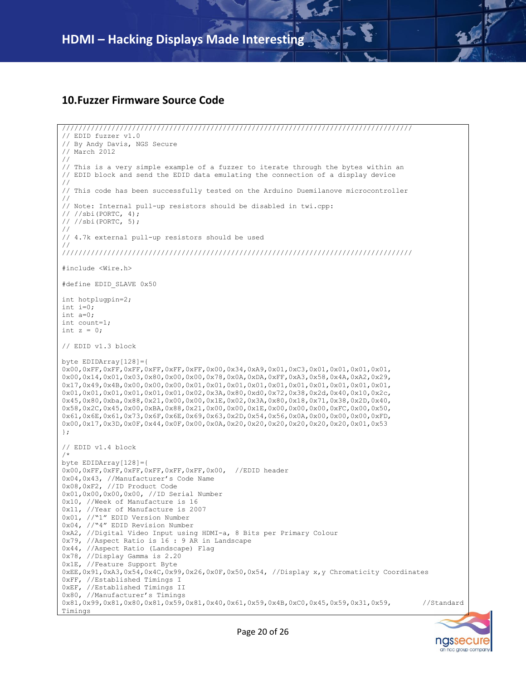### <span id="page-19-0"></span>**10.Fuzzer Firmware Source Code**

```
/////////////////////////////////////////////////////////////////////////////////////
// EDID fuzzer v1.0
// By Andy Davis, NGS Secure
// March 2012
// 
// This is a very simple example of a fuzzer to iterate through the bytes within an 
// EDID block and send the EDID data emulating the connection of a display device
//
// This code has been successfully tested on the Arduino Duemilanove microcontroller
//
// Note: Internal pull-up resistors should be disabled in twi.cpp:
// //sbi(PORTC, 4);
// //sbi(PORTC, 5);
//
// 4.7k external pull-up resistors should be used
//
/////////////////////////////////////////////////////////////////////////////////////
#include <Wire.h> 
#define EDID_SLAVE 0x50
int hotplugpin=2;
int i=0;
int a=0;
int count=1;
int z = 0;
// EDID v1.3 block
byte EDIDArray[128]={
0x00,0xFF,0xFF,0xFF,0xFF,0xFF,0xFF,0x00,0x34,0xA9,0x01,0xC3,0x01,0x01,0x01,0x01,
0x00,0x14,0x01,0x03,0x80,0x00,0x00,0x78,0x0A,0xDA,0xFF,0xA3,0x58,0x4A,0xA2,0x29,
0x17,0x49,0x4B,0x00,0x00,0x00,0x01,0x01,0x01,0x01,0x01,0x01,0x01,0x01,0x01,0x01,
0x01,0x01,0x01,0x01,0x01,0x01,0x02,0x3A,0x80,0xd0,0x72,0x38,0x2d,0x40,0x10,0x2c,
0x45,0x80,0xba,0x88,0x21,0x00,0x00,0x1E,0x02,0x3A,0x80,0x18,0x71,0x38,0x2D,0x40,
0x58,0x2C,0x45,0x00,0xBA,0x88,0x21,0x00,0x00,0x1E,0x00,0x00,0x00,0xFC,0x00,0x50,
0x61,0x6E,0x61,0x73,0x6F,0x6E,0x69,0x63,0x2D,0x54,0x56,0x0A,0x00,0x00,0x00,0xFD,
0x00,0x17,0x3D,0x0F,0x44,0x0F,0x00,0x0A,0x20,0x20,0x20,0x20,0x20,0x20,0x01,0x53
};
// EDID v1.4 block
/*
byte EDIDArray[128]={
0x00,0xFF,0xFF,0xFF,0xFF,0xFF,0xFF,0x00, //EDID header
0x04,0x43, //Manufacturer's Code Name
0x08,0xF2, //ID Product Code
0x01,0x00,0x00,0x00, //ID Serial Number
0x10, //Week of Manufacture is 16
0x11, //Year of Manufacture is 2007
0x01, //"1" EDID Version Number
0x04, //"4" EDID Revision Number
0xA2, //Digital Video Input using HDMI-a, 8 Bits per Primary Colour
0x79, //Aspect Ratio is 16 : 9 AR in Landscape
0x44, //Aspect Ratio (Landscape) Flag
0x78, //Display Gamma is 2.20
0x1E, //Feature Support Byte
0xEE,0x91,0xA3,0x54,0x4C,0x99,0x26,0x0F,0x50,0x54, //Display x,y Chromaticity Coordinates
0xFF, //Established Timings I
0xEF, //Established Timings II 
0x80, //Manufacturer's Timings
0x81,0x99,0x81,0x80,0x81,0x59,0x81,0x40,0x61,0x59,0x4B,0xC0,0x45,0x59,0x31,0x59, //Standard 
Timings
```
ngssecure an nec aroup company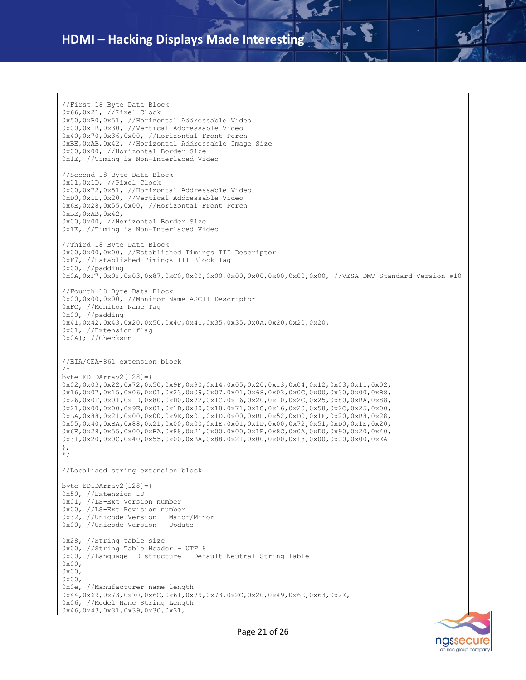```
//First 18 Byte Data Block
0x66,0x21, //Pixel Clock
0x50,0xB0,0x51, //Horizontal Addressable Video
0x00,0x1B,0x30, //Vertical Addressable Video
0x40,0x70,0x36,0x00, //Horizontal Front Porch
0xBE,0xAB,0x42, //Horizontal Addressable Image Size
0x00,0x00, //Horizontal Border Size
0x1E, //Timing is Non-Interlaced Video
//Second 18 Byte Data Block
0x01,0x1D, //Pixel Clock
0x00,0x72,0x51, //Horizontal Addressable Video
0xD0,0x1E,0x20, //Vertical Addressable Video
0x6E,0x28,0x55,0x00, //Horizontal Front Porch
0xBE,0xAB,0x42,
0x00,0x00, //Horizontal Border Size
0x1E, //Timing is Non-Interlaced Video
//Third 18 Byte Data Block
0x00,0x00,0x00, //Established Timings III Descriptor
0xF7, //Established Timings III Block Tag
0x00, //padding
0x0A,0xF7,0x0F,0x03,0x87,0xC0,0x00,0x00,0x00,0x00,0x00,0x00,0x00, //VESA DMT Standard Version #10
//Fourth 18 Byte Data Block
0x00,0x00,0x00, //Monitor Name ASCII Descriptor
0xFC, //Monitor Name Tag
0x00, //padding
0x41,0x42,0x43,0x20,0x50,0x4C,0x41,0x35,0x35,0x0A,0x20,0x20,0x20,
0x01, //Extension flag
0x0A}; //Checksum
//EIA/CEA-861 extension block
/*
byte EDIDArray2[128]={
0x02,0x03,0x22,0x72,0x50,0x9F,0x90,0x14,0x05,0x20,0x13,0x04,0x12,0x03,0x11,0x02,
0x16,0x07,0x15,0x06,0x01,0x23,0x09,0x07,0x01,0x68,0x03,0x0C,0x00,0x30,0x00,0xB8,
0x26,0x0F,0x01,0x1D,0x80,0xD0,0x72,0x1C,0x16,0x20,0x10,0x2C,0x25,0x80,0xBA,0x88,
0x21,0x00,0x00,0x9E,0x01,0x1D,0x80,0x18,0x71,0x1C,0x16,0x20,0x58,0x2C,0x25,0x00,
0xBA,0x88,0x21,0x00,0x00,0x9E,0x01,0x1D,0x00,0xBC,0x52,0xD0,0x1E,0x20,0xB8,0x28,
0x55,0x40,0xBA,0x88,0x21,0x00,0x00,0x1E,0x01,0x1D,0x00,0x72,0x51,0xD0,0x1E,0x20,
0x6E,0x28,0x55,0x00,0xBA,0x88,0x21,0x00,0x00,0x1E,0x8C,0x0A,0xD0,0x90,0x20,0x40,
0x31,0x20,0x0C,0x40,0x55,0x00,0xBA,0x88,0x21,0x00,0x00,0x18,0x00,0x00,0x00,0xEA
};
*/
//Localised string extension block
byte EDIDArray2[128]={
0x50, //Extension ID
0x01, //LS-Ext Version number
0x00, //LS-Ext Revision number
0x32, //Unicode Version – Major/Minor
0x00, //Unicode Version – Update
0x28, //String table size
0x00, //String Table Header – UTF 8
0x00, //Language ID structure – Default Neutral String Table
0x00,
0x00,
0x00,
0x0e, //Manufacturer name length
0x44,0x69,0x73,0x70,0x6C,0x61,0x79,0x73,0x2C,0x20,0x49,0x6E,0x63,0x2E,
0x06, //Model Name String Length
0x46,0x43,0x31,0x39,0x30,0x31,
```
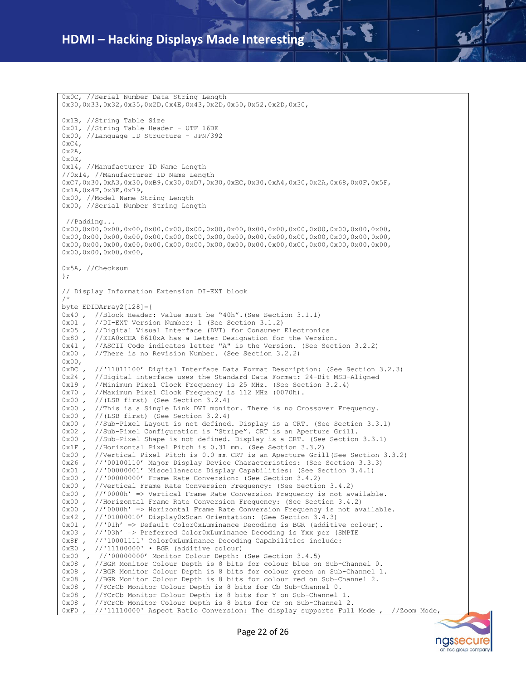0x0C, //Serial Number Data String Length 0x30,0x33,0x32,0x35,0x2D,0x4E,0x43,0x2D,0x50,0x52,0x2D,0x30, 0x1B, //String Table Size 0x01, //String Table Header - UTF 16BE 0x00, //Language ID Structure – JPN/392  $0 \times C4$ . 0x2A, 0x0E, 0x14, //Manufacturer ID Name Length //0x14, //Manufacturer ID Name Length 0xC7,0x30,0xA3,0x30,0xB9,0x30,0xD7,0x30,0xEC,0x30,0xA4,0x30,0x2A,0x68,0x0F,0x5F, 0x1A,0x4F,0x3E,0x79, 0x00, //Model Name String Length 0x00, //Serial Number String Length //Padding... 0x00,0x00,0x00,0x00,0x00,0x00,0x00,0x00,0x00,0x00,0x00,0x00,0x00,0x00,0x00,0x00, 0x00,0x00,0x00,0x00,0x00,0x00,0x00,0x00,0x00,0x00,0x00,0x00,0x00,0x00,0x00,0x00, 0x00,0x00,0x00,0x00,0x00,0x00,0x00,0x00,0x00,0x00,0x00,0x00,0x00,0x00,0x00,0x00, 0x00,0x00,0x00,0x00, 0x5A, //Checksum }; // Display Information Extension DI-EXT block /\* byte EDIDArray2[128]={ 0x40 , //Block Header: Value must be "40h". (See Section 3.1.1)<br>0x01 , //DI-EXT Version Number: 1 (See Section 3.1.2) 0x01 , //DI-EXT Version Number: 1 (See Section 3.1.2)<br>0x05 , //Digital Visual Interface (DVI) for Consumer //Digital Visual Interface (DVI) for Consumer Electronics 0x80 , //EIA0xCEA 8610xA has a Letter Designation for the Version. 0x41 , //ASCII Code indicates letter "A" is the Version. (See Section 3.2.2) 0x00 , //There is no Revision Number. (See Section 3.2.2)  $0 \times 00$ . 0xDC , //'11011100' Digital Interface Data Format Description: (See Section 3.2.3) 0x24 , //Digital interface uses the Standard Data Format: 24-Bit MSB-Aligned 0x19 , //Minimum Pixel Clock Frequency is 25 MHz. (See Section 3.2.4) 0x70 , //Maximum Pixel Clock Frequency is 112 MHz (0070h). 0x00 , //(LSB first) (See Section 3.2.4) 0x00 , //This is a Single Link DVI monitor. There is no Crossover Frequency. 0x00 , //(LSB first) (See Section 3.2.4) 0x00 , //Sub-Pixel Layout is not defined. Display is a CRT. (See Section 3.3.1) 0x02 , //Sub-Pixel Configuration is "Stripe". CRT is an Aperture Grill. 0x00 , //Sub-Pixel Shape is not defined. Display is a CRT. (See Section 3.3.1) 0x1F, //Horizontal Pixel Pitch is 0.31 mm. (See Section 3.3.2) 0x00 , //Vertical Pixel Pitch is 0.0 mm CRT is an Aperture Grill(See Section 3.3.2) 0x26 , //'00100110' Major Display Device Characteristics: (See Section 3.3.3)<br>0x01 , //'00000001' Miscellaneous Display Capabilities: (See Section 3.4.1) //'00000001' Miscellaneous Display Capabilities: (See Section 3.4.1) 0x00 , //'00000000' Frame Rate Conversion: (See Section 3.4.2) 0x00 , //Vertical Frame Rate Conversion Frequency: (See Section 3.4.2)  $0x00$ ,  $//'0000h'$  => Vertical Frame Rate Conversion Frequency is not available. 0x00 , //Horizontal Frame Rate Conversion Frequency: (See Section 3.4.2) 0x00 , //'0000h' => Horizontal Frame Rate Conversion Frequency is not available. 0x42 , //'01000010' Display0xScan Orientation: (See Section 3.4.3) 0x01 , //'01h' => Default Color0xLuminance Decoding is BGR (additive colour).  $0 \times 03$ , //'03h' => Preferred Color0xLuminance Decoding is Yxx per (SMPTE  $0 \times 8F$ , //'10001111' Color0xLuminance Decoding Capabilities include: //'10001111' Color0xLuminance Decoding Capabilities include: 0xE0 , //'11100000' • BGR (additive colour)<br>0x00 , //'00000000' Monitor Colour Depth: //'00000000' Monitor Colour Depth: (See Section 3.4.5) 0x08 , //BGR Monitor Colour Depth is 8 bits for colour blue on Sub-Channel 0. 0x08 , //BGR Monitor Colour Depth is 8 bits for colour green on Sub-Channel 1.<br>0x08 , //BGR Monitor Colour Depth is 8 bits for colour red on Sub-Channel 2. //BGR Monitor Colour Depth is 8 bits for colour red on Sub-Channel 2. 0x08 , //YCrCb Monitor Colour Depth is 8 bits for Cb Sub-Channel 0. 0x08 , //YCrCb Monitor Colour Depth is 8 bits for Y on Sub-Channel 1. 0x08 , //YCrCb Monitor Colour Depth is 8 bits for Cr on Sub-Channel 2. 0xF0 , //'11110000' Aspect Ratio Conversion: The display supports Full Mode , //Zoom Mode

Page 22 of 26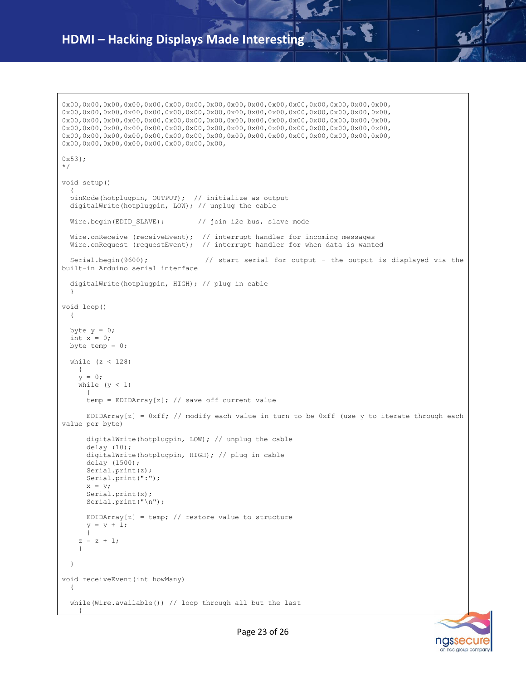0x00,0x00,0x00,0x00,0x00,0x00,0x00,0x00,0x00,0x00,0x00,0x00,0x00,0x00,0x00,0x00, 0x00,0x00,0x00,0x00,0x00,0x00,0x00,0x00,0x00,0x00,0x00,0x00,0x00,0x00,0x00,0x00, 0x00,0x00,0x00,0x00,0x00,0x00,0x00,0x00,0x00,0x00,0x00,0x00,0x00,0x00,0x00,0x00, 0x00,0x00,0x00,0x00,0x00,0x00,0x00,0x00,0x00,0x00,0x00,0x00,0x00,0x00,0x00,0x00, 0x00,0x00,0x00,0x00,0x00,0x00,0x00,0x00,0x00,0x00,0x00,0x00,0x00,0x00,0x00,0x00, 0x00,0x00,0x00,0x00,0x00,0x00,0x00,0x00, 0x53}; \*/ void setup()  $\{$  pinMode(hotplugpin, OUTPUT); // initialize as output digitalWrite(hotplugpin, LOW); // unplug the cable Wire.begin(EDID SLAVE); // join i2c bus, slave mode Wire.onReceive (receiveEvent); // interrupt handler for incoming messages Wire.onRequest (requestEvent); // interrupt handler for when data is wanted Serial.begin(9600);  $\frac{1}{3}$  // start serial for output - the output is displayed via the built-in Arduino serial interface digitalWrite(hotplugpin, HIGH); // plug in cable } void loop() { byte  $y = 0;$ int  $x = 0$ ; byte temp =  $0;$  while (z < 128)  $\{$  $y = 0;$ while  $(y < 1)$  $\left\{ \right.$ temp = EDIDArray[z]; // save off current value EDIDArray[z] =  $0xff$ ; // modify each value in turn to be  $0xf$  (use y to iterate through each value per byte) digitalWrite(hotplugpin, LOW); // unplug the cable delay (10); digitalWrite(hotplugpin, HIGH); // plug in cable delay (1500); Serial.print(z); Serial.print(":");  $x = y;$  Serial.print(x); Serial.print("\n"); EDIDArray[z] = temp; // restore value to structure  $y = y + 1;$  }  $z = z + 1;$  } } void receiveEvent(int howMany) { while(Wire.available()) // loop through all but the last {

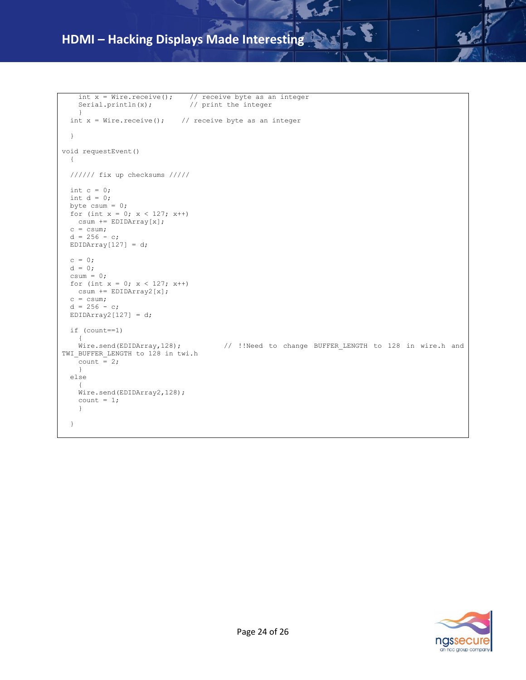```
int x = Wire.receive(); // receive byte as an integer
    Serial.println(x); // print the integer
     }
  int x = Wire.receive(); // receive byte as an integer
   }
void requestEvent() 
  { 
  ////// fix up checksums ///// 
  int c = 0;int d = 0; byte csum = 0;
 for (int x = 0; x < 127; x++)
    csum += EDIDArray[x];
 c = csum;d = 256 - c;EDIDArray[127] = d;c = 0;d = 0;csum = 0;for (int x = 0; x < 127; x^{++})
    csum += EDIDArray2[x];
 c = csum;d = 256 - c;EDIDArray2[127] = d; if (count==1)
    { 
   Wire.send(EDIDArray,128); // !!Need to change BUFFER_LENGTH to 128 in wire.h and<br>BUFFER LENGTH to 128 in this b
TWI BUFFER LENGTH to 128 in twi.h
   count = 2; }
  else
\{\} Wire.send(EDIDArray2,128);
   count = 1; } 
   }
```


نم ا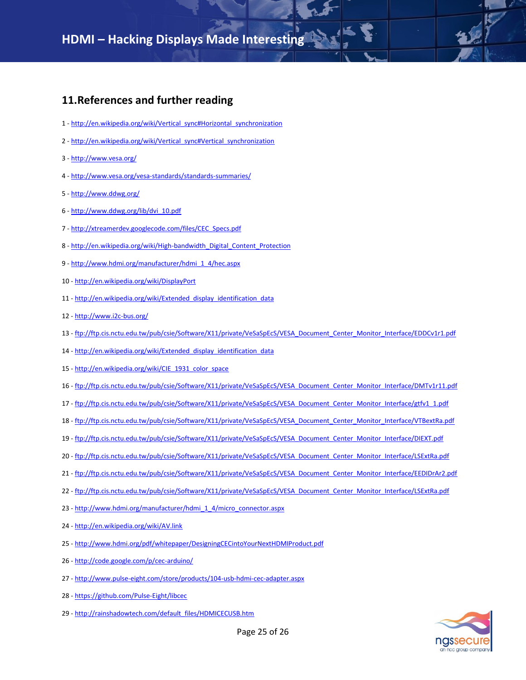## <span id="page-24-0"></span>**11.References and further reading**

- 1 [http://en.wikipedia.org/wiki/Vertical\\_sync#Horizontal\\_synchronization](http://en.wikipedia.org/wiki/Vertical_sync#Horizontal_synchronization)
- 2 [http://en.wikipedia.org/wiki/Vertical\\_sync#Vertical\\_synchronization](http://en.wikipedia.org/wiki/Vertical_sync#Vertical_synchronization)
- 3 <http://www.vesa.org/>
- 4 <http://www.vesa.org/vesa-standards/standards-summaries/>
- 5 <http://www.ddwg.org/>
- 6 [http://www.ddwg.org/lib/dvi\\_10.pdf](http://www.ddwg.org/lib/dvi_10.pdf)
- 7 [http://xtreamerdev.googlecode.com/files/CEC\\_Specs.pdf](http://xtreamerdev.googlecode.com/files/CEC_Specs.pdf)
- 8 [http://en.wikipedia.org/wiki/High-bandwidth\\_Digital\\_Content\\_Protection](http://en.wikipedia.org/wiki/High-bandwidth_Digital_Content_Protection)
- 9 [http://www.hdmi.org/manufacturer/hdmi\\_1\\_4/hec.aspx](http://www.hdmi.org/manufacturer/hdmi_1_4/hec.aspx)
- 10 <http://en.wikipedia.org/wiki/DisplayPort>
- 11 [http://en.wikipedia.org/wiki/Extended\\_display\\_identification\\_data](http://en.wikipedia.org/wiki/Extended_display_identification_data)
- 12 <http://www.i2c-bus.org/>
- 13 [ftp://ftp.cis.nctu.edu.tw/pub/csie/Software/X11/private/VeSaSpEcS/VESA\\_Document\\_Center\\_Monitor\\_Interface/EDDCv1r1.pdf](ftp://ftp.cis.nctu.edu.tw/pub/csie/Software/X11/private/VeSaSpEcS/VESA_Document_Center_Monitor_Interface/EDDCv1r1.pdf)
- 14 [http://en.wikipedia.org/wiki/Extended\\_display\\_identification\\_data](http://en.wikipedia.org/wiki/Extended_display_identification_data)
- 15 [http://en.wikipedia.org/wiki/CIE\\_1931\\_color\\_space](http://en.wikipedia.org/wiki/CIE_1931_color_space)
- 16 [ftp://ftp.cis.nctu.edu.tw/pub/csie/Software/X11/private/VeSaSpEcS/VESA\\_Document\\_Center\\_Monitor\\_Interface/DMTv1r11.pdf](ftp://ftp.cis.nctu.edu.tw/pub/csie/Software/X11/private/VeSaSpEcS/VESA_Document_Center_Monitor_Interface/DMTv1r11.pdf)
- 17 [ftp://ftp.cis.nctu.edu.tw/pub/csie/Software/X11/private/VeSaSpEcS/VESA\\_Document\\_Center\\_Monitor\\_Interface/gtfv1\\_1.pdf](ftp://ftp.cis.nctu.edu.tw/pub/csie/Software/X11/private/VeSaSpEcS/VESA_Document_Center_Monitor_Interface/gtfv1_1.pdf)
- 18 [ftp://ftp.cis.nctu.edu.tw/pub/csie/Software/X11/private/VeSaSpEcS/VESA\\_Document\\_Center\\_Monitor\\_Interface/VTBextRa.pdf](ftp://ftp.cis.nctu.edu.tw/pub/csie/Software/X11/private/VeSaSpEcS/VESA_Document_Center_Monitor_Interface/VTBextRa.pdf)
- 19 [ftp://ftp.cis.nctu.edu.tw/pub/csie/Software/X11/private/VeSaSpEcS/VESA\\_Document\\_Center\\_Monitor\\_Interface/DIEXT.pdf](ftp://ftp.cis.nctu.edu.tw/pub/csie/Software/X11/private/VeSaSpEcS/VESA_Document_Center_Monitor_Interface/DIEXT.pdf)
- 20 [ftp://ftp.cis.nctu.edu.tw/pub/csie/Software/X11/private/VeSaSpEcS/VESA\\_Document\\_Center\\_Monitor\\_Interface/LSExtRa.pdf](ftp://ftp.cis.nctu.edu.tw/pub/csie/Software/X11/private/VeSaSpEcS/VESA_Document_Center_Monitor_Interface/LSExtRa.pdf)
- 21 [ftp://ftp.cis.nctu.edu.tw/pub/csie/Software/X11/private/VeSaSpEcS/VESA\\_Document\\_Center\\_Monitor\\_Interface/EEDIDrAr2.pdf](ftp://ftp.cis.nctu.edu.tw/pub/csie/Software/X11/private/VeSaSpEcS/VESA_Document_Center_Monitor_Interface/EEDIDrAr2.pdf)
- 22 [ftp://ftp.cis.nctu.edu.tw/pub/csie/Software/X11/private/VeSaSpEcS/VESA\\_Document\\_Center\\_Monitor\\_Interface/LSExtRa.pdf](ftp://ftp.cis.nctu.edu.tw/pub/csie/Software/X11/private/VeSaSpEcS/VESA_Document_Center_Monitor_Interface/LSExtRa.pdf)
- 23 [http://www.hdmi.org/manufacturer/hdmi\\_1\\_4/micro\\_connector.aspx](http://www.hdmi.org/manufacturer/hdmi_1_4/micro_connector.aspx)
- 24 <http://en.wikipedia.org/wiki/AV.link>
- 25 <http://www.hdmi.org/pdf/whitepaper/DesigningCECintoYourNextHDMIProduct.pdf>
- 26 <http://code.google.com/p/cec-arduino/>
- 27 <http://www.pulse-eight.com/store/products/104-usb-hdmi-cec-adapter.aspx>
- 28 <https://github.com/Pulse-Eight/libcec>
- 29 [http://rainshadowtech.com/default\\_files/HDMICECUSB.htm](http://rainshadowtech.com/default_files/HDMICECUSB.htm)